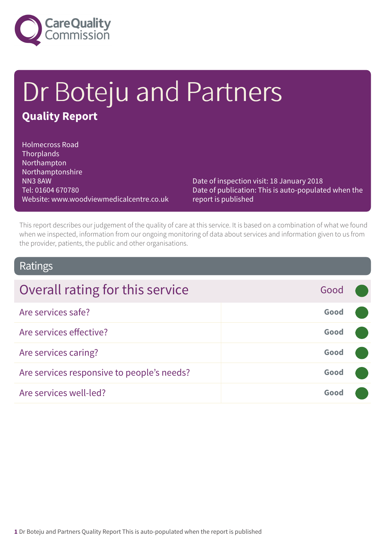

# Dr Boteju and Partners **Quality Report**

Holmecross Road **Thorplands** Northampton Northamptonshire NN3 8AW Tel: 01604 670780 Website: www.woodviewmedicalcentre.co.uk

Date of inspection visit: 18 January 2018 Date of publication: This is auto-populated when the report is published

This report describes our judgement of the quality of care at this service. It is based on a combination of what we found when we inspected, information from our ongoing monitoring of data about services and information given to us from the provider, patients, the public and other organisations.

## Ratings

| Overall rating for this service            | Good |  |
|--------------------------------------------|------|--|
| Are services safe?                         | Good |  |
| Are services effective?                    | Good |  |
| Are services caring?                       | Good |  |
| Are services responsive to people's needs? | Good |  |
| Are services well-led?                     | Good |  |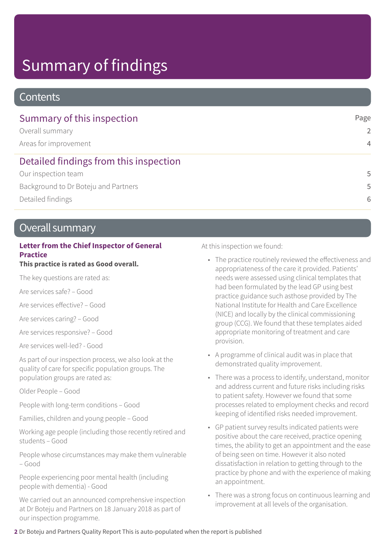# Summary of findings

## **Contents**

| Summary of this inspection             | Page           |
|----------------------------------------|----------------|
| Overall summary                        | $\mathcal{P}$  |
| Areas for improvement                  | $\overline{4}$ |
| Detailed findings from this inspection |                |
| Our inspection team                    | 5              |
| Background to Dr Boteju and Partners   | 5              |
| Detailed findings                      | 6              |

## Overall summary

## **Letter from the Chief Inspector of General Practice**

## **This practice is rated as Good overall.**

The key questions are rated as:

Are services safe? – Good

Are services effective? – Good

Are services caring? – Good

Are services responsive? – Good

Are services well-led? - Good

As part of our inspection process, we also look at the quality of care for specific population groups. The population groups are rated as:

Older People – Good

People with long-term conditions – Good

Families, children and young people – Good

Working age people (including those recently retired and students – Good

People whose circumstances may make them vulnerable – Good

People experiencing poor mental health (including people with dementia) - Good

We carried out an announced comprehensive inspection at Dr Boteju and Partners on 18 January 2018 as part of our inspection programme.

At this inspection we found:

- The practice routinely reviewed the effectiveness and appropriateness of the care it provided. Patients' needs were assessed using clinical templates that had been formulated by the lead GP using best practice guidance such asthose provided by The National Institute for Health and Care Excellence (NICE) and locally by the clinical commissioning group (CCG). We found that these templates aided appropriate monitoring of treatment and care provision.
- A programme of clinical audit was in place that demonstrated quality improvement.
- There was a process to identify, understand, monitor and address current and future risks including risks to patient safety. However we found that some processes related to employment checks and record keeping of identified risks needed improvement.
- GP patient survey results indicated patients were positive about the care received, practice opening times, the ability to get an appointment and the ease of being seen on time. However it also noted dissatisfaction in relation to getting through to the practice by phone and with the experience of making an appointment.
- There was a strong focus on continuous learning and improvement at all levels of the organisation.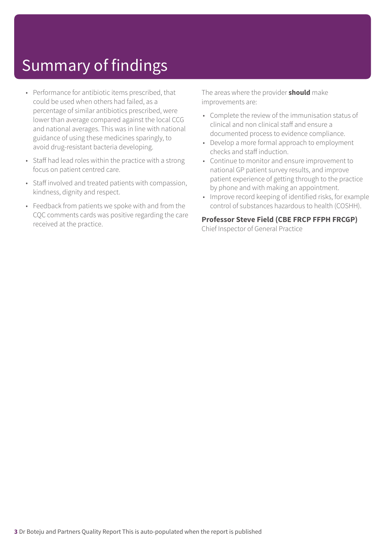# Summary of findings

- Performance for antibiotic items prescribed, that could be used when others had failed, as a percentage of similar antibiotics prescribed, were lower than average compared against the local CCG and national averages. This was in line with national guidance of using these medicines sparingly, to avoid drug-resistant bacteria developing.
- Staff had lead roles within the practice with a strong focus on patient centred care.
- Staff involved and treated patients with compassion, kindness, dignity and respect.
- Feedback from patients we spoke with and from the CQC comments cards was positive regarding the care received at the practice.

The areas where the provider **should** make improvements are:

- Complete the review of the immunisation status of clinical and non clinical staff and ensure a documented process to evidence compliance.
- Develop a more formal approach to employment checks and staff induction.
- Continue to monitor and ensure improvement to national GP patient survey results, and improve patient experience of getting through to the practice by phone and with making an appointment.
- Improve record keeping of identified risks, for example control of substances hazardous to health (COSHH).

## **Professor Steve Field (CBE FRCP FFPH FRCGP)**

Chief Inspector of General Practice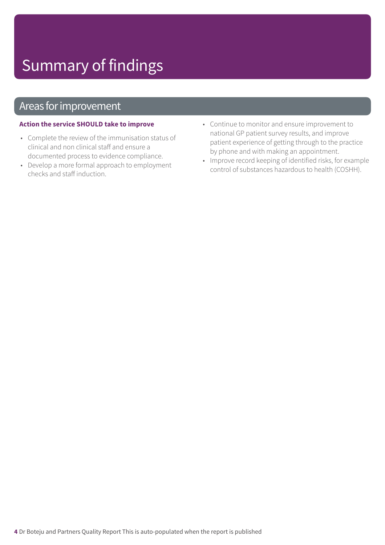# Summary of findings

## Areas for improvement

#### **Action the service SHOULD take to improve**

- Complete the review of the immunisation status of clinical and non clinical staff and ensure a documented process to evidence compliance.
- Develop a more formal approach to employment checks and staff induction.
- Continue to monitor and ensure improvement to national GP patient survey results, and improve patient experience of getting through to the practice by phone and with making an appointment.
- Improve record keeping of identified risks, for example control of substances hazardous to health (COSHH).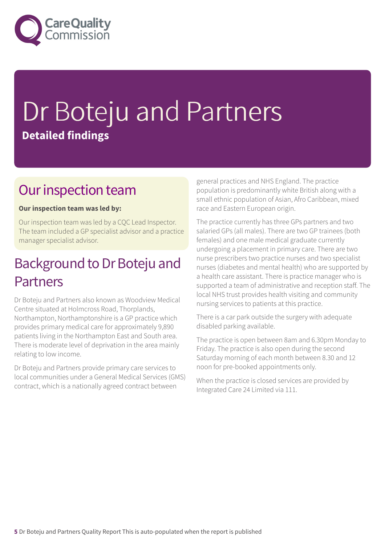

# Dr Boteju and Partners **Detailed findings**

## Our inspection team

## **Our inspection team was led by:**

Our inspection team was led by a CQC Lead Inspector. The team included a GP specialist advisor and a practice manager specialist advisor.

## Background to Dr Boteju and Partners

Dr Boteju and Partners also known as Woodview Medical Centre situated at Holmcross Road, Thorplands, Northampton, Northamptonshire is a GP practice which provides primary medical care for approximately 9,890 patients living in the Northampton East and South area. There is moderate level of deprivation in the area mainly relating to low income.

Dr Boteju and Partners provide primary care services to local communities under a General Medical Services (GMS) contract, which is a nationally agreed contract between

general practices and NHS England. The practice population is predominantly white British along with a small ethnic population of Asian, Afro Caribbean, mixed race and Eastern European origin.

The practice currently has three GPs partners and two salaried GPs (all males). There are two GP trainees (both females) and one male medical graduate currently undergoing a placement in primary care. There are two nurse prescribers two practice nurses and two specialist nurses (diabetes and mental health) who are supported by a health care assistant. There is practice manager who is supported a team of administrative and reception staff. The local NHS trust provides health visiting and community nursing services to patients at this practice.

There is a car park outside the surgery with adequate disabled parking available.

The practice is open between 8am and 6.30pm Monday to Friday. The practice is also open during the second Saturday morning of each month between 8.30 and 12 noon for pre-booked appointments only.

When the practice is closed services are provided by Integrated Care 24 Limited via 111.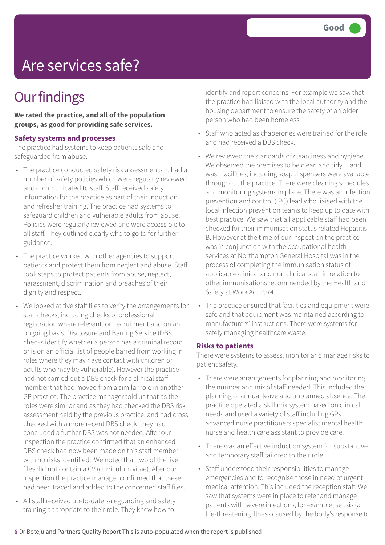# Are services safe?

# **Our findings**

**We rated the practice, and all of the population groups, as good for providing safe services.**

#### **Safety systems and processes**

The practice had systems to keep patients safe and safeguarded from abuse.

- The practice conducted safety risk assessments. It had a number of safety policies which were regularly reviewed and communicated to staff. Staff received safety information for the practice as part of their induction and refresher training. The practice had systems to safeguard children and vulnerable adults from abuse. Policies were regularly reviewed and were accessible to all staff. They outlined clearly who to go to for further guidance.
- The practice worked with other agencies to support patients and protect them from neglect and abuse. Staff took steps to protect patients from abuse, neglect, harassment, discrimination and breaches of their dignity and respect.
- We looked at five staff files to verify the arrangements for staff checks, including checks of professional registration where relevant, on recruitment and on an ongoing basis. Disclosure and Barring Service (DBS checks identify whether a person has a criminal record or is on an official list of people barred from working in roles where they may have contact with children or adults who may be vulnerable). However the practice had not carried out a DBS check for a clinical staff member that had moved from a similar role in another GP practice. The practice manager told us that as the roles were similar and as they had checked the DBS risk assessment held by the previous practice, and had cross checked with a more recent DBS check, they had concluded a further DBS was not needed. After our inspection the practice confirmed that an enhanced DBS check had now been made on this staff member with no risks identified. We noted that two of the five files did not contain a CV (curriculum vitae). After our inspection the practice manager confirmed that these had been traced and added to the concerned staff files.
- All staff received up-to-date safeguarding and safety training appropriate to their role. They knew how to

identify and report concerns. For example we saw that the practice had liaised with the local authority and the housing department to ensure the safety of an older person who had been homeless.

- Staff who acted as chaperones were trained for the role and had received a DBS check.
- We reviewed the standards of cleanliness and hygiene. We observed the premises to be clean and tidy. Hand wash facilities, including soap dispensers were available throughout the practice. There were cleaning schedules and monitoring systems in place. There was an infection prevention and control (IPC) lead who liaised with the local infection prevention teams to keep up to date with best practice. We saw that all applicable staff had been checked for their immunisation status related Hepatitis B. However at the time of our inspection the practice was in conjunction with the occupational health services at Northampton General Hospital was in the process of completing the immunisation status of applicable clinical and non clinical staff in relation to other immunisations recommended by the Health and Safety at Work Act 1974.
- The practice ensured that facilities and equipment were safe and that equipment was maintained according to manufacturers' instructions. There were systems for safely managing healthcare waste.

#### **Risks to patients**

There were systems to assess, monitor and manage risks to patient safety.

- There were arrangements for planning and monitoring the number and mix of staff needed. This included the planning of annual leave and unplanned absence. The practice operated a skill mix system based on clinical needs and used a variety of staff including GPs advanced nurse practitioners specialist mental health nurse and health care assistant to provide care.
- There was an effective induction system for substantive and temporary staff tailored to their role.
- Staff understood their responsibilities to manage emergencies and to recognise those in need of urgent medical attention. This included the reception staff. We saw that systems were in place to refer and manage patients with severe infections, for example, sepsis (a life-threatening illness caused by the body's response to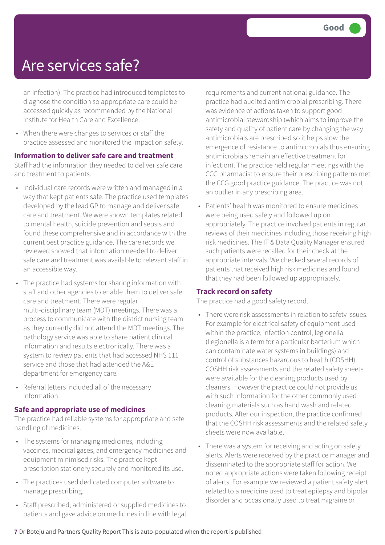## Are services safe?

an infection). The practice had introduced templates to diagnose the condition so appropriate care could be accessed quickly as recommended by the National Institute for Health Care and Excellence.

• When there were changes to services or staff the practice assessed and monitored the impact on safety.

**Information to deliver safe care and treatment**

Staff had the information they needed to deliver safe care and treatment to patients.

- Individual care records were written and managed in a way that kept patients safe. The practice used templates developed by the lead GP to manage and deliver safe care and treatment. We were shown templates related to mental health, suicide prevention and sepsis and found these comprehensive and in accordance with the current best practice guidance. The care records we reviewed showed that information needed to deliver safe care and treatment was available to relevant staff in an accessible way.
- The practice had systems for sharing information with staff and other agencies to enable them to deliver safe care and treatment. There were regular multi-disciplinary team (MDT) meetings. There was a process to communicate with the district nursing team as they currently did not attend the MDT meetings. The pathology service was able to share patient clinical information and results electronically. There was a system to review patients that had accessed NHS 111 service and those that had attended the A&E department for emergency care.
- Referral letters included all of the necessary information.

## **Safe and appropriate use of medicines**

The practice had reliable systems for appropriate and safe handling of medicines.

- The systems for managing medicines, including vaccines, medical gases, and emergency medicines and equipment minimised risks. The practice kept prescription stationery securely and monitored its use.
- The practices used dedicated computer software to manage prescribing.
- Staff prescribed, administered or supplied medicines to patients and gave advice on medicines in line with legal

requirements and current national guidance. The practice had audited antimicrobial prescribing. There was evidence of actions taken to support good antimicrobial stewardship (which aims to improve the safety and quality of patient care by changing the way antimicrobials are prescribed so it helps slow the emergence of resistance to antimicrobials thus ensuring antimicrobials remain an effective treatment for infection). The practice held regular meetings with the CCG pharmacist to ensure their prescribing patterns met the CCG good practice guidance. The practice was not an outlier in any prescribing area.

• Patients' health was monitored to ensure medicines were being used safely and followed up on appropriately. The practice involved patients in regular reviews of their medicines including those receiving high risk medicines. The IT & Data Quality Manager ensured such patients were recalled for their check at the appropriate intervals. We checked several records of patients that received high risk medicines and found that they had been followed up appropriately.

## **Track record on safety**

The practice had a good safety record.

- There were risk assessments in relation to safety issues. For example for electrical safety of equipment used within the practice, infection control, legionella (Legionella is a term for a particular bacterium which can contaminate water systems in buildings) and control of substances hazardous to health (COSHH). COSHH risk assessments and the related safety sheets were available for the cleaning products used by cleaners. However the practice could not provide us with such information for the other commonly used cleaning materials such as hand wash and related products. After our inspection, the practice confirmed that the COSHH risk assessments and the related safety sheets were now available.
- There was a system for receiving and acting on safety alerts. Alerts were received by the practice manager and disseminated to the appropriate staff for action. We noted appropriate actions were taken following receipt of alerts. For example we reviewed a patient safety alert related to a medicine used to treat epilepsy and bipolar disorder and occasionally used to treat migraine or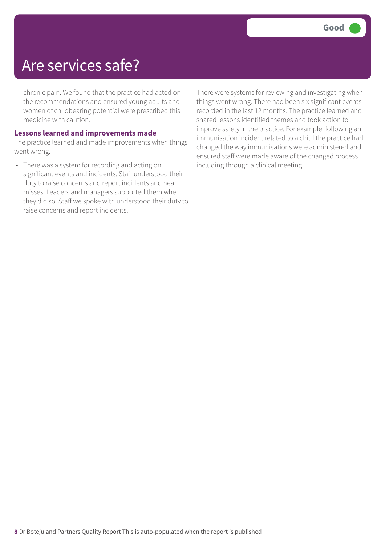## Are services safe?

chronic pain. We found that the practice had acted on the recommendations and ensured young adults and women of childbearing potential were prescribed this medicine with caution.

#### **Lessons learned and improvements made**

The practice learned and made improvements when things went wrong.

• There was a system for recording and acting on significant events and incidents. Staff understood their duty to raise concerns and report incidents and near misses. Leaders and managers supported them when they did so. Staff we spoke with understood their duty to raise concerns and report incidents.

There were systems for reviewing and investigating when things went wrong. There had been six significant events recorded in the last 12 months. The practice learned and shared lessons identified themes and took action to improve safety in the practice. For example, following an immunisation incident related to a child the practice had changed the way immunisations were administered and ensured staff were made aware of the changed process including through a clinical meeting.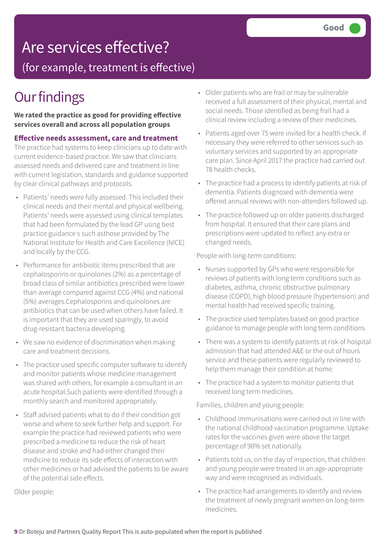# Are services effective?

(for example, treatment is effective)

# **Our findings**

**We rated the practice as good for providing effective services overall and across all population groups**

## **Effective needs assessment, care and treatment**

The practice had systems to keep clinicians up to date with current evidence-based practice. We saw that clinicians assessed needs and delivered care and treatment in line with current legislation, standards and guidance supported by clear clinical pathways and protocols.

- Patients' needs were fully assessed. This included their clinical needs and their mental and physical wellbeing. Patients' needs were assessed using clinical templates that had been formulated by the lead GP using best practice guidance s such asthose provided by The National Institute for Health and Care Excellence (NICE) and locally by the CCG.
- Performance for antibiotic items prescribed that are cephalosporins or quinolones (2%) as a percentage of broad class of similar antibiotics prescribed were lower than average compared against CCG (4%) and national (5%) averages.Cephalosporins and quinolones are antibiotics that can be used when others have failed. It is important that they are used sparingly, to avoid drug-resistant bacteria developing.
- We saw no evidence of discrimination when making care and treatment decisions.
- The practice used specific computer software to identify and monitor patients whose medicine management was shared with others, for example a consultant in an acute hospital.Such patients were identified through a monthly search and monitored appropriately.
- Staff advised patients what to do if their condition got worse and where to seek further help and support. For example the practice had reviewed patients who were prescribed a medicine to reduce the risk of heart disease and stroke and had either changed their medicine to reduce its side effects of interaction with other medicines or had advised the patients to be aware of the potential side effects.

Older people:

- Older patients who are frail or may be vulnerable received a full assessment of their physical, mental and social needs. Those identified as being frail had a clinical review including a review of their medicines.
- Patients aged over 75 were invited for a health check. If necessary they were referred to other services such as voluntary services and supported by an appropriate care plan. Since April 2017 the practice had carried out 78 health checks.
- The practice had a process to identify patients at risk of dementia. Patients diagnosed with dementia were offered annual reviews with non-attenders followed up.
- The practice followed up on older patients discharged from hospital. It ensured that their care plans and prescriptions were updated to reflect any extra or changed needs.

People with long-term conditions:

- Nurses supported by GPs who were responsible for reviews of patients with long term conditions such as diabetes, asthma, chronic obstructive pulmonary disease (COPD), high blood pressure (hypertension) and mental health had received specific training.
- The practice used templates based on good practice guidance to manage people with long term conditions.
- There was a system to identify patients at risk of hospital admission that had attended A&E or the out of hours service and these patients were regularly reviewed to help them manage their condition at home.
- The practice had a system to monitor patients that received long term medicines.

Families, children and young people:

- Childhood immunisations were carried out in line with the national childhood vaccination programme. Uptake rates for the vaccines given were above the target percentage of 90% set nationally.
- Patients told us, on the day of inspection, that children and young people were treated in an age-appropriate way and were recognised as individuals.
- The practice had arrangements to identify and review the treatment of newly pregnant women on long-term medicines.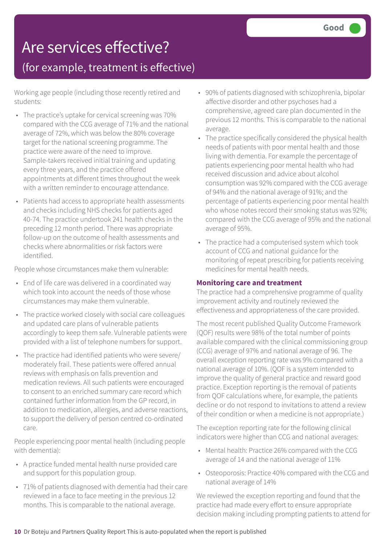# Are services effective?

## (for example, treatment is effective)

Working age people (including those recently retired and students:

- The practice's uptake for cervical screening was 70% compared with the CCG average of 71% and the national average of 72%, which was below the 80% coverage target for the national screening programme. The practice were aware of the need to improve. Sample-takers received initial training and updating every three years, and the practice offered appointments at different times throughout the week with a written reminder to encourage attendance.
- Patients had access to appropriate health assessments and checks including NHS checks for patients aged 40-74. The practice undertook 241 health checks in the preceding 12 month period. There was appropriate follow-up on the outcome of health assessments and checks where abnormalities or risk factors were identified.

People whose circumstances make them vulnerable:

- End of life care was delivered in a coordinated way which took into account the needs of those whose circumstances may make them vulnerable.
- The practice worked closely with social care colleagues and updated care plans of vulnerable patients accordingly to keep them safe. Vulnerable patients were provided with a list of telephone numbers for support.
- The practice had identified patients who were severe/ moderately frail. These patients were offered annual reviews with emphasis on falls prevention and medication reviews. All such patients were encouraged to consent to an enriched summary care record which contained further information from the GP record, in addition to medication, allergies, and adverse reactions, to support the delivery of person centred co-ordinated care.

People experiencing poor mental health (including people with dementia):

- A practice funded mental health nurse provided care and support for this population group.
- 71% of patients diagnosed with dementia had their care reviewed in a face to face meeting in the previous 12 months. This is comparable to the national average.
- 90% of patients diagnosed with schizophrenia, bipolar affective disorder and other psychoses had a comprehensive, agreed care plan documented in the previous 12 months. This is comparable to the national average.
- The practice specifically considered the physical health needs of patients with poor mental health and those living with dementia. For example the percentage of patients experiencing poor mental health who had received discussion and advice about alcohol consumption was 92% compared with the CCG average of 94% and the national average of 91%; and the percentage of patients experiencing poor mental health who whose notes record their smoking status was 92%; compared with the CCG average of 95% and the national average of 95%.
- The practice had a computerised system which took account of CCG and national guidance for the monitoring of repeat prescribing for patients receiving medicines for mental health needs.

## **Monitoring care and treatment**

The practice had a comprehensive programme of quality improvement activity and routinely reviewed the effectiveness and appropriateness of the care provided.

The most recent published Quality Outcome Framework (QOF) results were 98% of the total number of points available compared with the clinical commissioning group (CCG) average of 97% and national average of 96. The overall exception reporting rate was 9% compared with a national average of 10%. (QOF is a system intended to improve the quality of general practice and reward good practice. Exception reporting is the removal of patients from QOF calculations where, for example, the patients decline or do not respond to invitations to attend a review of their condition or when a medicine is not appropriate.)

The exception reporting rate for the following clinical indicators were higher than CCG and national averages:

- Mental health: Practice 26% compared with the CCG average of 14 and the national average of 11%
- Osteoporosis: Practice 40% compared with the CCG and national average of 14%

We reviewed the exception reporting and found that the practice had made every effort to ensure appropriate decision making including prompting patients to attend for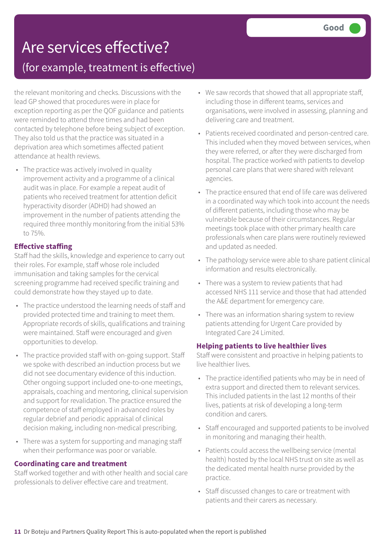# Are services effective? (for example, treatment is effective)

the relevant monitoring and checks. Discussions with the lead GP showed that procedures were in place for exception reporting as per the QOF guidance and patients were reminded to attend three times and had been contacted by telephone before being subject of exception. They also told us that the practice was situated in a deprivation area which sometimes affected patient attendance at health reviews.

• The practice was actively involved in quality improvement activity and a programme of a clinical audit was in place. For example a repeat audit of patients who received treatment for attention deficit hyperactivity disorder (ADHD) had showed an improvement in the number of patients attending the required three monthly monitoring from the initial 53% to 75%.

## **Effective staffing**

Staff had the skills, knowledge and experience to carry out their roles. For example, staff whose role included immunisation and taking samples for the cervical screening programme had received specific training and could demonstrate how they stayed up to date.

- The practice understood the learning needs of staff and provided protected time and training to meet them. Appropriate records of skills, qualifications and training were maintained. Staff were encouraged and given opportunities to develop.
- The practice provided staff with on-going support. Staff we spoke with described an induction process but we did not see documentary evidence of this induction. Other ongoing support included one-to-one meetings, appraisals, coaching and mentoring, clinical supervision and support for revalidation. The practice ensured the competence of staff employed in advanced roles by regular debrief and periodic appraisal of clinical decision making, including non-medical prescribing.
- There was a system for supporting and managing staff when their performance was poor or variable.

## **Coordinating care and treatment**

Staff worked together and with other health and social care professionals to deliver effective care and treatment.

- We saw records that showed that all appropriate staff, including those in different teams, services and organisations, were involved in assessing, planning and delivering care and treatment.
- Patients received coordinated and person-centred care. This included when they moved between services, when they were referred, or after they were discharged from hospital. The practice worked with patients to develop personal care plans that were shared with relevant agencies.
- The practice ensured that end of life care was delivered in a coordinated way which took into account the needs of different patients, including those who may be vulnerable because of their circumstances. Regular meetings took place with other primary health care professionals when care plans were routinely reviewed and updated as needed.
- The pathology service were able to share patient clinical information and results electronically.
- There was a system to review patients that had accessed NHS 111 service and those that had attended the A&E department for emergency care.
- There was an information sharing system to review patients attending for Urgent Care provided by Integrated Care 24 Limited.

## **Helping patients to live healthier lives**

Staff were consistent and proactive in helping patients to live healthier lives.

- The practice identified patients who may be in need of extra support and directed them to relevant services. This included patients in the last 12 months of their lives, patients at risk of developing a long-term condition and carers.
- Staff encouraged and supported patients to be involved in monitoring and managing their health.
- Patients could access the wellbeing service (mental health) hosted by the local NHS trust on site as well as the dedicated mental health nurse provided by the practice.
- Staff discussed changes to care or treatment with patients and their carers as necessary.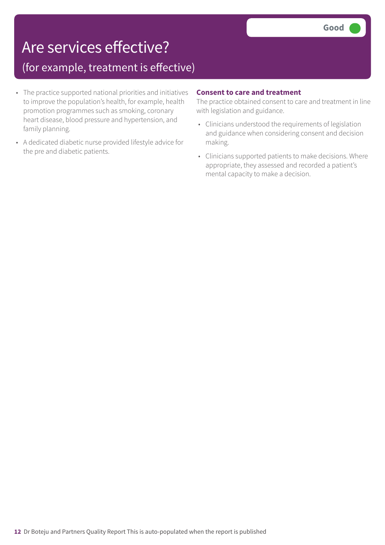# Are services effective?

## (for example, treatment is effective)

- The practice supported national priorities and initiatives to improve the population's health, for example, health promotion programmes such as smoking, coronary heart disease, blood pressure and hypertension, and family planning.
- A dedicated diabetic nurse provided lifestyle advice for the pre and diabetic patients.

## **Consent to care and treatment**

The practice obtained consent to care and treatment in line with legislation and guidance.

- Clinicians understood the requirements of legislation and guidance when considering consent and decision making.
- Clinicians supported patients to make decisions. Where appropriate, they assessed and recorded a patient's mental capacity to make a decision.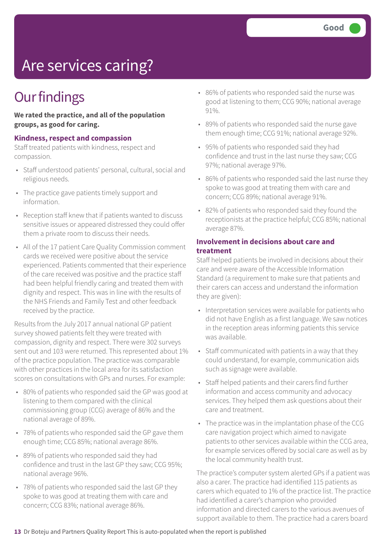# Are services caring?

# **Our findings**

**We rated the practice, and all of the population groups, as good for caring.**

#### **Kindness, respect and compassion**

Staff treated patients with kindness, respect and compassion.

- Staff understood patients' personal, cultural, social and religious needs.
- The practice gave patients timely support and information.
- Reception staff knew that if patients wanted to discuss sensitive issues or appeared distressed they could offer them a private room to discuss their needs.
- All of the 17 patient Care Quality Commission comment cards we received were positive about the service experienced. Patients commented that their experience of the care received was positive and the practice staff had been helpful friendly caring and treated them with dignity and respect. This was in line with the results of the NHS Friends and Family Test and other feedback received by the practice.

Results from the July 2017 annual national GP patient survey showed patients felt they were treated with compassion, dignity and respect. There were 302 surveys sent out and 103 were returned. This represented about 1% of the practice population. The practice was comparable with other practices in the local area for its satisfaction scores on consultations with GPs and nurses. For example:

- 80% of patients who responded said the GP was good at listening to them compared with the clinical commissioning group (CCG) average of 86% and the national average of 89%.
- 78% of patients who responded said the GP gave them enough time; CCG 85%; national average 86%.
- 89% of patients who responded said they had confidence and trust in the last GP they saw; CCG 95%; national average 96%.
- 78% of patients who responded said the last GP they spoke to was good at treating them with care and concern; CCG 83%; national average 86%.
- 86% of patients who responded said the nurse was good at listening to them; CCG 90%; national average 91%.
- 89% of patients who responded said the nurse gave them enough time; CCG 91%; national average 92%.
- 95% of patients who responded said they had confidence and trust in the last nurse they saw; CCG 97%; national average 97%.
- 86% of patients who responded said the last nurse they spoke to was good at treating them with care and concern; CCG 89%; national average 91%.
- 82% of patients who responded said they found the receptionists at the practice helpful; CCG 85%; national average 87%.

#### **Involvement in decisions about care and treatment**

Staff helped patients be involved in decisions about their care and were aware of the Accessible Information Standard (a requirement to make sure that patients and their carers can access and understand the information they are given):

- Interpretation services were available for patients who did not have English as a first language. We saw notices in the reception areas informing patients this service was available.
- Staff communicated with patients in a way that they could understand, for example, communication aids such as signage were available.
- Staff helped patients and their carers find further information and access community and advocacy services. They helped them ask questions about their care and treatment.
- The practice was in the implantation phase of the CCG care navigation project which aimed to navigate patients to other services available within the CCG area, for example services offered by social care as well as by the local community health trust.

The practice's computer system alerted GPs if a patient was also a carer. The practice had identified 115 patients as carers which equated to 1% of the practice list. The practice had identified a carer's champion who provided information and directed carers to the various avenues of support available to them. The practice had a carers board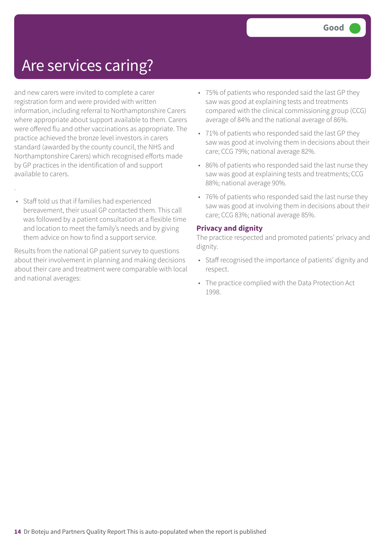## Are services caring?

and new carers were invited to complete a carer registration form and were provided with written information, including referral to Northamptonshire Carers where appropriate about support available to them. Carers were offered flu and other vaccinations as appropriate. The practice achieved the bronze level investors in carers standard (awarded by the county council, the NHS and Northamptonshire Carers) which recognised efforts made by GP practices in the identification of and support available to carers.

• Staff told us that if families had experienced bereavement, their usual GP contacted them. This call was followed by a patient consultation at a flexible time and location to meet the family's needs and by giving them advice on how to find a support service.

.

Results from the national GP patient survey to questions about their involvement in planning and making decisions about their care and treatment were comparable with local and national averages:

- 75% of patients who responded said the last GP they saw was good at explaining tests and treatments compared with the clinical commissioning group (CCG) average of 84% and the national average of 86%.
- 71% of patients who responded said the last GP they saw was good at involving them in decisions about their care; CCG 79%; national average 82%.
- 86% of patients who responded said the last nurse they saw was good at explaining tests and treatments; CCG 88%; national average 90%.
- 76% of patients who responded said the last nurse they saw was good at involving them in decisions about their care; CCG 83%; national average 85%.

## **Privacy and dignity**

The practice respected and promoted patients' privacy and dignity.

- Staff recognised the importance of patients' dignity and respect.
- The practice complied with the Data Protection Act 1998.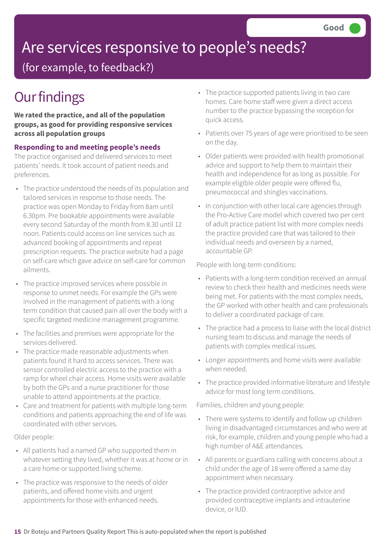# Are services responsive to people's needs?

(for example, to feedback?)

# **Our findings**

**We rated the practice, and all of the population groups, as good for providing responsive services across all population groups**

## **Responding to and meeting people's needs**

The practice organised and delivered services to meet patients' needs. It took account of patient needs and preferences.

- The practice understood the needs of its population and tailored services in response to those needs. The practice was open Monday to Friday from 8am until 6.30pm. Pre bookable appointments were available every second Saturday of the month from 8.30 until 12 noon. Patients could access on line services such as advanced booking of appointments and repeat prescription requests. The practice website had a page on self-care which gave advice on self-care for common ailments.
- The practice improved services where possible in response to unmet needs. For example the GPs were involved in the management of patients with a long term condition that caused pain all over the body with a specific targeted medicine management programme.
- The facilities and premises were appropriate for the services delivered.
- The practice made reasonable adjustments when patients found it hard to access services. There was sensor controlled electric access to the practice with a ramp for wheel chair access. Home visits were available by both the GPs and a nurse practitioner for those unable to attend appointments at the practice.
- Care and treatment for patients with multiple long-term conditions and patients approaching the end of life was coordinated with other services.

Older people:

- All patients had a named GP who supported them in whatever setting they lived, whether it was at home or in a care home or supported living scheme.
- The practice was responsive to the needs of older patients, and offered home visits and urgent appointments for those with enhanced needs.
- The practice supported patients living in two care homes. Care home staff were given a direct access number to the practice bypassing the reception for quick access.
- Patients over 75 years of age were prioritised to be seen on the day.
- Older patients were provided with health promotional advice and support to help them to maintain their health and independence for as long as possible. For example eligible older people were offered flu, pneumococcal and shingles vaccinations.
- In conjunction with other local care agencies through the Pro-Active Care model which covered two per cent of adult practice patient list with more complex needs the practice provided care that was tailored to their individual needs and overseen by a named, accountable GP.

People with long-term conditions:

- Patients with a long-term condition received an annual review to check their health and medicines needs were being met. For patients with the most complex needs, the GP worked with other health and care professionals to deliver a coordinated package of care.
- The practice had a process to liaise with the local district nursing team to discuss and manage the needs of patients with complex medical issues.
- Longer appointments and home visits were available when needed.
- The practice provided informative literature and lifestyle advice for most long term conditions.

Families, children and young people:

- There were systems to identify and follow up children living in disadvantaged circumstances and who were at risk, for example, children and young people who had a high number of A&E attendances.
- All parents or guardians calling with concerns about a child under the age of 18 were offered a same day appointment when necessary.
- The practice provided contraceptive advice and provided contraceptive implants and intrauterine device, or IUD.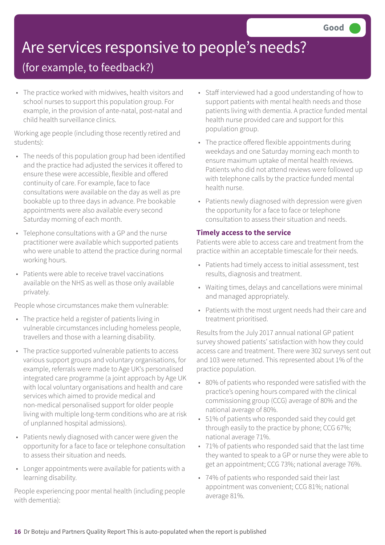# Are services responsive to people's needs?

## (for example, to feedback?)

• The practice worked with midwives, health visitors and school nurses to support this population group. For example, in the provision of ante-natal, post-natal and child health surveillance clinics.

Working age people (including those recently retired and students):

- The needs of this population group had been identified and the practice had adjusted the services it offered to ensure these were accessible, flexible and offered continuity of care. For example, face to face consultations were available on the day as well as pre bookable up to three days in advance. Pre bookable appointments were also available every second Saturday morning of each month.
- Telephone consultations with a GP and the nurse practitioner were available which supported patients who were unable to attend the practice during normal working hours.
- Patients were able to receive travel vaccinations available on the NHS as well as those only available privately.

People whose circumstances make them vulnerable:

- The practice held a register of patients living in vulnerable circumstances including homeless people, travellers and those with a learning disability.
- The practice supported vulnerable patients to access various support groups and voluntary organisations, for example, referrals were made to Age UK's personalised integrated care programme (a joint approach by Age UK with local voluntary organisations and health and care services which aimed to provide medical and non-medical personalised support for older people living with multiple long-term conditions who are at risk of unplanned hospital admissions).
- Patients newly diagnosed with cancer were given the opportunity for a face to face or telephone consultation to assess their situation and needs.
- Longer appointments were available for patients with a learning disability.

People experiencing poor mental health (including people with dementia):

- Staff interviewed had a good understanding of how to support patients with mental health needs and those patients living with dementia. A practice funded mental health nurse provided care and support for this population group.
- The practice offered flexible appointments during weekdays and one Saturday morning each month to ensure maximum uptake of mental health reviews. Patients who did not attend reviews were followed up with telephone calls by the practice funded mental health nurse.
- Patients newly diagnosed with depression were given the opportunity for a face to face or telephone consultation to assess their situation and needs.

## **Timely access to the service**

Patients were able to access care and treatment from the practice within an acceptable timescale for their needs.

- Patients had timely access to initial assessment, test results, diagnosis and treatment.
- Waiting times, delays and cancellations were minimal and managed appropriately.
- Patients with the most urgent needs had their care and treatment prioritised.

Results from the July 2017 annual national GP patient survey showed patients' satisfaction with how they could access care and treatment. There were 302 surveys sent out and 103 were returned. This represented about 1% of the practice population.

- 80% of patients who responded were satisfied with the practice's opening hours compared with the clinical commissioning group (CCG) average of 80% and the national average of 80%.
- 51% of patients who responded said they could get through easily to the practice by phone; CCG 67%; national average 71%.
- 71% of patients who responded said that the last time they wanted to speak to a GP or nurse they were able to get an appointment; CCG 73%; national average 76%.
- 74% of patients who responded said their last appointment was convenient; CCG 81%; national average 81%.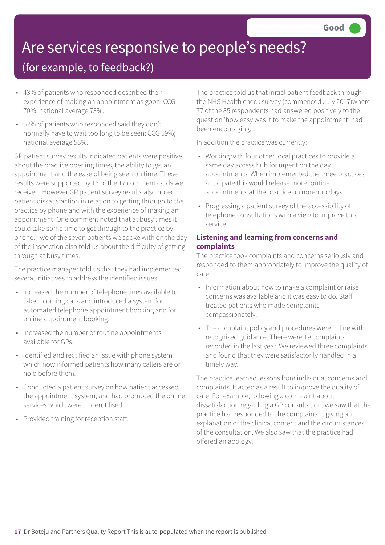# Are services responsive to people's needs?

## (for example, to feedback?)

- 43% of patients who responded described their experience of making an appointment as good; CCG 70%; national average 73%.
- 52% of patients who responded said they don't normally have to wait too long to be seen; CCG 59%; national average 58%.

GP patient survey results indicated patients were positive about the practice opening times, the ability to get an appointment and the ease of being seen on time. These results were supported by 16 of the 17 comment cards we received. However GP patient survey results also noted patient dissatisfaction in relation to getting through to the practice by phone and with the experience of making an appointment. One comment noted that at busy times it could take some time to get through to the practice by phone. Two of the seven patients we spoke with on the day of the inspection also told us about the difficulty of getting through at busy times.

The practice manager told us that they had implemented several initiatives to address the identified issues:

- Increased the number of telephone lines available to take incoming calls and introduced a system for automated telephone appointment booking and for online appointment booking.
- Increased the number of routine appointments available for GPs.
- Identified and rectified an issue with phone system which now informed patients how many callers are on hold before them.
- Conducted a patient survey on how patient accessed the appointment system, and had promoted the online services which were underutilised.
- Provided training for reception staff.

The practice told us that initial patient feedback through the NHS Health check survey (commenced July 2017)where 77 of the 85 respondents had answered positively to the question 'how easy was it to make the appointment' had been encouraging.

In addition the practice was currently:

- Working with four other local practices to provide a same day access hub for urgent on the day appointments. When implemented the three practices anticipate this would release more routine appointments at the practice on non-hub days.
- Progressing a patient survey of the accessibility of telephone consultations with a view to improve this service.

## **Listening and learning from concerns and complaints**

The practice took complaints and concerns seriously and responded to them appropriately to improve the quality of care.

- Information about how to make a complaint or raise concerns was available and it was easy to do. Staff treated patients who made complaints compassionately.
- The complaint policy and procedures were in line with recognised guidance. There were 19 complaints recorded in the last year. We reviewed three complaints and found that they were satisfactorily handled in a timely way.

The practice learned lessons from individual concerns and complaints. It acted as a result to improve the quality of care. For example, following a complaint about dissatisfaction regarding a GP consultation, we saw that the practice had responded to the complainant giving an explanation of the clinical content and the circumstances of the consultation. We also saw that the practice had offered an apology.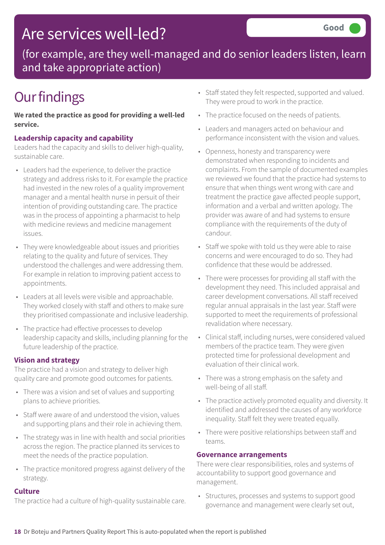# Are services well-led?

(for example, are they well-managed and do senior leaders listen, learn and take appropriate action)

# **Our findings**

**We rated the practice as good for providing a well-led service.**

## **Leadership capacity and capability**

Leaders had the capacity and skills to deliver high-quality, sustainable care.

- Leaders had the experience, to deliver the practice strategy and address risks to it. For example the practice had invested in the new roles of a quality improvement manager and a mental health nurse in persuit of their intention of providing outstanding care. The practice was in the process of appointing a pharmacist to help with medicine reviews and medicine management issues.
- They were knowledgeable about issues and priorities relating to the quality and future of services. They understood the challenges and were addressing them. For example in relation to improving patient access to appointments.
- Leaders at all levels were visible and approachable. They worked closely with staff and others to make sure they prioritised compassionate and inclusive leadership.
- The practice had effective processes to develop leadership capacity and skills, including planning for the future leadership of the practice.

## **Vision and strategy**

The practice had a vision and strategy to deliver high quality care and promote good outcomes for patients.

- There was a vision and set of values and supporting plans to achieve priorities.
- Staff were aware of and understood the vision, values and supporting plans and their role in achieving them.
- The strategy was in line with health and social priorities across the region. The practice planned its services to meet the needs of the practice population.
- The practice monitored progress against delivery of the strategy.

## **Culture**

The practice had a culture of high-quality sustainable care.

- Staff stated they felt respected, supported and valued. They were proud to work in the practice.
- The practice focused on the needs of patients.
- Leaders and managers acted on behaviour and performance inconsistent with the vision and values.
- Openness, honesty and transparency were demonstrated when responding to incidents and complaints. From the sample of documented examples we reviewed we found that the practice had systems to ensure that when things went wrong with care and treatment the practice gave affected people support, information and a verbal and written apology. The provider was aware of and had systems to ensure compliance with the requirements of the duty of candour.
- Staff we spoke with told us they were able to raise concerns and were encouraged to do so. They had confidence that these would be addressed.
- There were processes for providing all staff with the development they need. This included appraisal and career development conversations. All staff received regular annual appraisals in the last year. Staff were supported to meet the requirements of professional revalidation where necessary.
- Clinical staff, including nurses, were considered valued members of the practice team. They were given protected time for professional development and evaluation of their clinical work.
- There was a strong emphasis on the safety and well-being of all staff.
- The practice actively promoted equality and diversity. It identified and addressed the causes of any workforce inequality. Staff felt they were treated equally.
- There were positive relationships between staff and teams.

## **Governance arrangements**

There were clear responsibilities, roles and systems of accountability to support good governance and management.

• Structures, processes and systems to support good governance and management were clearly set out,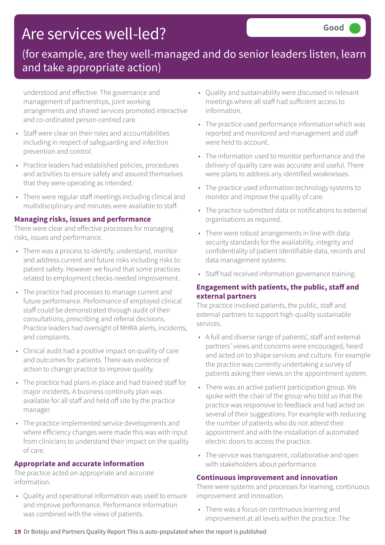# Are services well-led?

## (for example, are they well-managed and do senior leaders listen, learn and take appropriate action)

understood and effective. The governance and management of partnerships, joint working arrangements and shared services promoted interactive and co-ordinated person-centred care.

- Staff were clear on their roles and accountabilities including in respect of safeguarding and infection prevention and control.
- Practice leaders had established policies, procedures and activities to ensure safety and assured themselves that they were operating as intended.
- There were regular staff meetings including clinical and multidisciplinary and minutes were available to staff.

## **Managing risks, issues and performance**

There were clear and effective processes for managing risks, issues and performance.

- There was a process to identify, understand, monitor and address current and future risks including risks to patient safety. However we found that some practices related to employment checks needed improvement.
- The practice had processes to manage current and future performance. Performance of employed clinical staff could be demonstrated through audit of their consultations, prescribing and referral decisions. Practice leaders had oversight of MHRA alerts, incidents, and complaints.
- Clinical audit had a positive impact on quality of care and outcomes for patients. There was evidence of action to change practice to improve quality.
- The practice had plans in place and had trained staff for major incidents. A business continuity plan was available for all staff and held off site by the practice manager.
- The practice implemented service developments and where efficiency changes were made this was with input from clinicians to understand their impact on the quality of care.

## **Appropriate and accurate information**

The practice acted on appropriate and accurate information.

• Quality and operational information was used to ensure and improve performance. Performance information was combined with the views of patients.

- Quality and sustainability were discussed in relevant meetings where all staff had sufficient access to information.
- The practice used performance information which was reported and monitored and management and staff were held to account.
- The information used to monitor performance and the delivery of quality care was accurate and useful. There were plans to address any identified weaknesses.
- The practice used information technology systems to monitor and improve the quality of care.
- The practice submitted data or notifications to external organisations as required.
- There were robust arrangements in line with data security standards for the availability, integrity and confidentiality of patient identifiable data, records and data management systems.
- Staff had received information governance training.

## **Engagement with patients, the public, staff and external partners**

The practice involved patients, the public, staff and external partners to support high-quality sustainable services.

- A full and diverse range of patients', staff and external partners' views and concerns were encouraged, heard and acted on to shape services and culture. For example the practice was currently undertaking a survey of patients asking their views on the appointment system.
- There was an active patient participation group. We spoke with the chair of the group who told us that the practice was responsive to feedback and had acted on several of their suggestions. For example with reducing the number of patients who do not attend their appointment and with the installation of automated electric doors to access the practice.
- The service was transparent, collaborative and open with stakeholders about performance.

## **Continuous improvement and innovation**

There were systems and processes for learning, continuous improvement and innovation.

• There was a focus on continuous learning and improvement at all levels within the practice. The